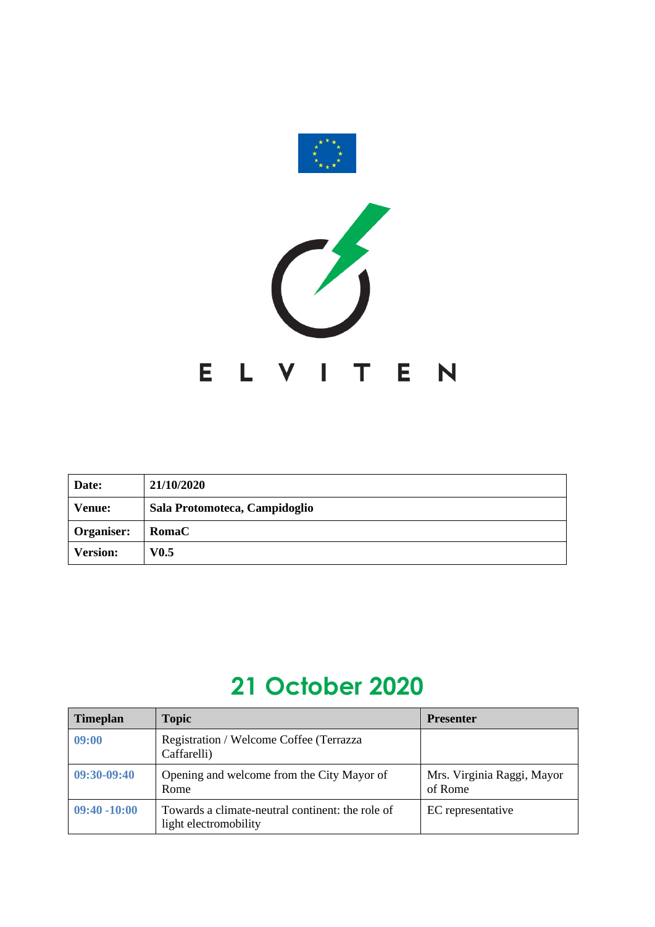

| Date:           | 21/10/2020                    |
|-----------------|-------------------------------|
| <b>Venue:</b>   | Sala Protomoteca, Campidoglio |
| Organiser:      | <b>RomaC</b>                  |
| <b>Version:</b> | V0.5                          |

## **21 October 2020**

| <b>Timeplan</b> | <b>Topic</b>                                                              | <b>Presenter</b>                      |
|-----------------|---------------------------------------------------------------------------|---------------------------------------|
| 09:00           | Registration / Welcome Coffee (Terrazza<br>Caffarelli)                    |                                       |
| $09:30-09:40$   | Opening and welcome from the City Mayor of<br>Rome                        | Mrs. Virginia Raggi, Mayor<br>of Rome |
| $09:40 - 10:00$ | Towards a climate-neutral continent: the role of<br>light electromobility | EC representative                     |